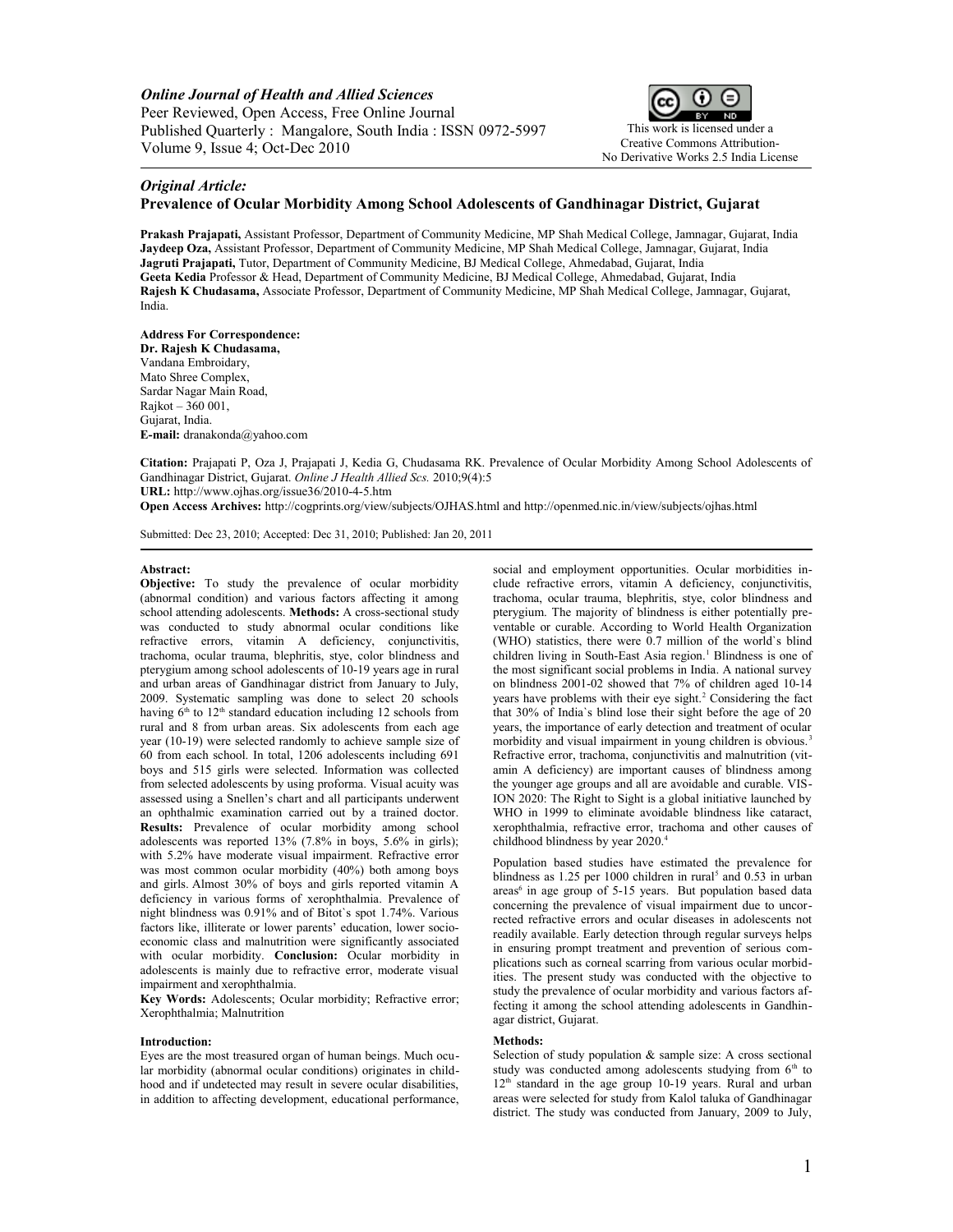*Online Journal of Health and Allied Sciences* Peer Reviewed, Open Access, Free Online Journal Published Quarterly : Mangalore, South India : ISSN 0972-5997 Volume 9, Issue 4; Oct-Dec 2010



# *Original Article:*

## **Prevalence of Ocular Morbidity Among School Adolescents of Gandhinagar District, Gujarat**

**Prakash Prajapati,** Assistant Professor, Department of Community Medicine, MP Shah Medical College, Jamnagar, Gujarat, India **Jaydeep Oza,** Assistant Professor, Department of Community Medicine, MP Shah Medical College, Jamnagar, Gujarat, India **Jagruti Prajapati,** Tutor, Department of Community Medicine, BJ Medical College, Ahmedabad, Gujarat, India **Geeta Kedia** Professor & Head, Department of Community Medicine, BJ Medical College, Ahmedabad, Gujarat, India **Rajesh K Chudasama,** Associate Professor, Department of Community Medicine, MP Shah Medical College, Jamnagar, Gujarat, India.

**Address For Correspondence: Dr. Rajesh K Chudasama,** Vandana Embroidary, Mato Shree Complex, Sardar Nagar Main Road, Rajkot – 360 001, Gujarat, India. **E-mail:** [dranakonda@yahoo.com](mailto:dranakonda@yahoo.com)

**Citation:** Prajapati P, Oza J, Prajapati J, Kedia G, Chudasama RK. Prevalence of Ocular Morbidity Among School Adolescents of Gandhinagar District, Gujarat. *Online J Health Allied Scs.* 2010;9(4):5 **URL:** http://www.ojhas.org/issue36/2010-4-5.htm

**Open Access Archives:** http://cogprints.org/view/subjects/OJHAS.html and http://openmed.nic.in/view/subjects/ojhas.html

Submitted: Dec 23, 2010; Accepted: Dec 31, 2010; Published: Jan 20, 2011

### **Abstract:**

**Objective:** To study the prevalence of ocular morbidity (abnormal condition) and various factors affecting it among school attending adolescents. **Methods:** A cross-sectional study was conducted to study abnormal ocular conditions like refractive errors, vitamin A deficiency, conjunctivitis, trachoma, ocular trauma, blephritis, stye, color blindness and pterygium among school adolescents of 10-19 years age in rural and urban areas of Gandhinagar district from January to July, 2009. Systematic sampling was done to select 20 schools having  $6<sup>th</sup>$  to  $12<sup>th</sup>$  standard education including 12 schools from rural and 8 from urban areas. Six adolescents from each age year (10-19) were selected randomly to achieve sample size of 60 from each school. In total, 1206 adolescents including 691 boys and 515 girls were selected. Information was collected from selected adolescents by using proforma. Visual acuity was assessed using a Snellen's chart and all participants underwent an ophthalmic examination carried out by a trained doctor. **Results:** Prevalence of ocular morbidity among school adolescents was reported 13% (7.8% in boys, 5.6% in girls); with 5.2% have moderate visual impairment. Refractive error was most common ocular morbidity (40%) both among boys and girls. Almost 30% of boys and girls reported vitamin A deficiency in various forms of xerophthalmia. Prevalence of night blindness was 0.91% and of Bitot`s spot 1.74%. Various factors like, illiterate or lower parents' education, lower socioeconomic class and malnutrition were significantly associated with ocular morbidity. **Conclusion:** Ocular morbidity in adolescents is mainly due to refractive error, moderate visual impairment and xerophthalmia.

**Key Words:** Adolescents; Ocular morbidity; Refractive error; Xerophthalmia; Malnutrition

#### **Introduction:**

Eyes are the most treasured organ of human beings. Much ocular morbidity (abnormal ocular conditions) originates in childhood and if undetected may result in severe ocular disabilities, in addition to affecting development, educational performance,

social and employment opportunities. Ocular morbidities include refractive errors, vitamin A deficiency, conjunctivitis, trachoma, ocular trauma, blephritis, stye, color blindness and pterygium. The majority of blindness is either potentially preventable or curable. According to World Health Organization (WHO) statistics, there were  $0.7$  million of the world's blind children living in South-East Asia region.<sup>1</sup> Blindness is one of the most significant social problems in India. A national survey on blindness 2001-02 showed that 7% of children aged 10-14 years have problems with their eye sight.<sup>2</sup> Considering the fact that 30% of India`s blind lose their sight before the age of 20 years, the importance of early detection and treatment of ocular morbidity and visual impairment in young children is obvious.<sup>3</sup> Refractive error, trachoma, conjunctivitis and malnutrition (vitamin A deficiency) are important causes of blindness among the younger age groups and all are avoidable and curable. VIS-ION 2020: The Right to Sight is a global initiative launched by WHO in 1999 to eliminate avoidable blindness like cataract, xerophthalmia, refractive error, trachoma and other causes of childhood blindness by year 2020.<sup>4</sup>

Population based studies have estimated the prevalence for blindness as 1.25 per 1000 children in rural<sup>5</sup> and 0.53 in urban areas<sup>6</sup> in age group of 5-15 years. But population based data concerning the prevalence of visual impairment due to uncorrected refractive errors and ocular diseases in adolescents not readily available. Early detection through regular surveys helps in ensuring prompt treatment and prevention of serious complications such as corneal scarring from various ocular morbidities. The present study was conducted with the objective to study the prevalence of ocular morbidity and various factors affecting it among the school attending adolescents in Gandhinagar district, Gujarat.

## **Methods:**

Selection of study population  $\&$  sample size: A cross sectional study was conducted among adolescents studying from  $6<sup>th</sup>$  to  $12<sup>th</sup>$  standard in the age group 10-19 years. Rural and urban areas were selected for study from Kalol taluka of Gandhinagar district. The study was conducted from January, 2009 to July,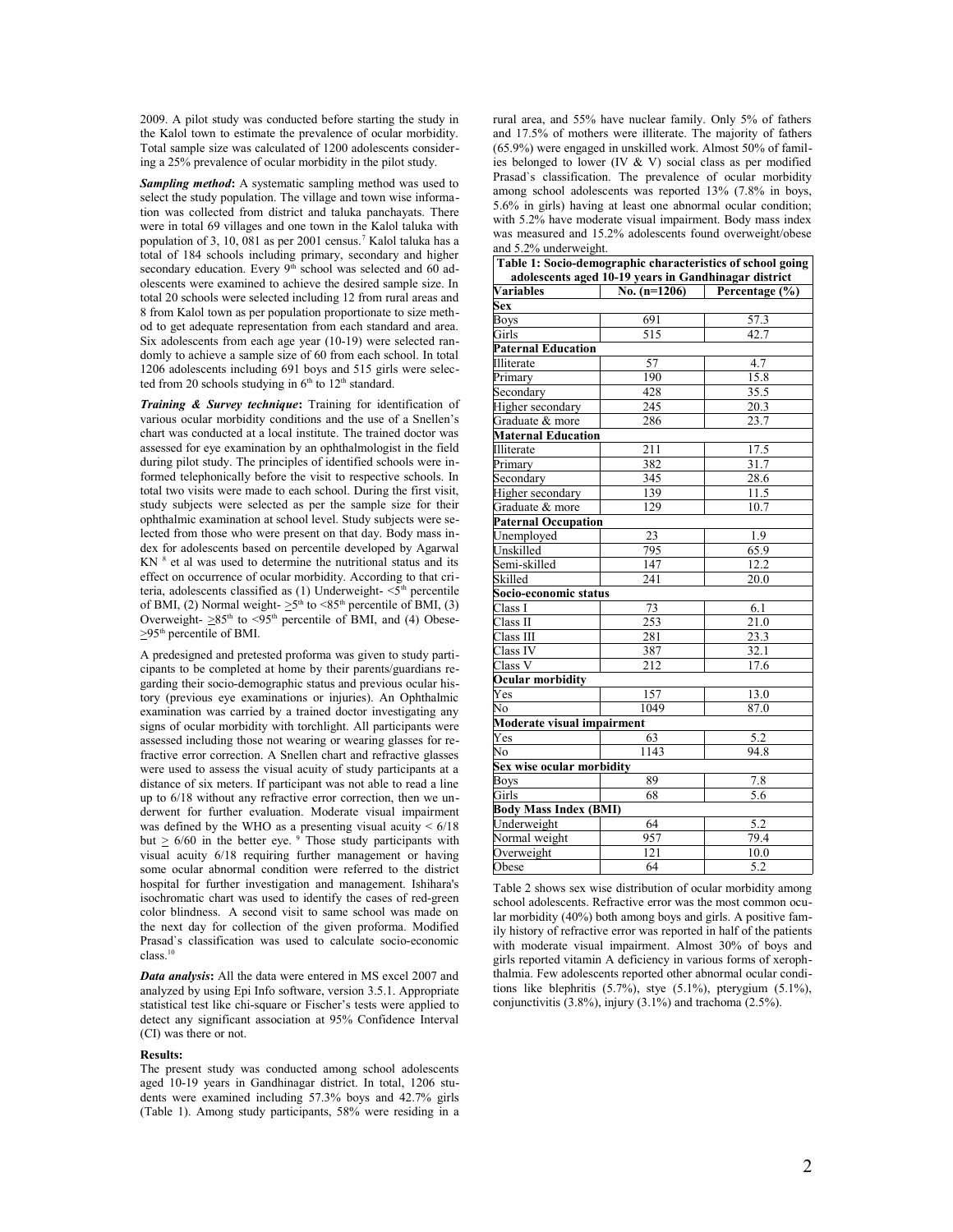2009. A pilot study was conducted before starting the study in the Kalol town to estimate the prevalence of ocular morbidity. Total sample size was calculated of 1200 adolescents considering a 25% prevalence of ocular morbidity in the pilot study.

*Sampling method***:** A systematic sampling method was used to select the study population. The village and town wise information was collected from district and taluka panchayats. There were in total 69 villages and one town in the Kalol taluka with population of 3, 10, 081 as per 2001 census.<sup>7</sup> Kalol taluka has a total of 184 schools including primary, secondary and higher secondary education. Every  $9<sup>th</sup>$  school was selected and 60 adolescents were examined to achieve the desired sample size. In total 20 schools were selected including 12 from rural areas and 8 from Kalol town as per population proportionate to size method to get adequate representation from each standard and area. Six adolescents from each age year (10-19) were selected randomly to achieve a sample size of 60 from each school. In total 1206 adolescents including 691 boys and 515 girls were selected from 20 schools studying in  $6<sup>th</sup>$  to  $12<sup>th</sup>$  standard.

*Training & Survey technique***:** Training for identification of various ocular morbidity conditions and the use of a Snellen's chart was conducted at a local institute. The trained doctor was assessed for eye examination by an ophthalmologist in the field during pilot study. The principles of identified schools were informed telephonically before the visit to respective schools. In total two visits were made to each school. During the first visit, study subjects were selected as per the sample size for their ophthalmic examination at school level. Study subjects were selected from those who were present on that day. Body mass index for adolescents based on percentile developed by Agarwal KN<sup>8</sup> et al was used to determine the nutritional status and its effect on occurrence of ocular morbidity. According to that criteria, adolescents classified as  $(1)$  Underweight- $\leq 5$ <sup>th</sup> percentile of BMI, (2) Normal weight- $\geq 5^{\text{th}}$  to <85<sup>th</sup> percentile of BMI, (3) Overweight-  $\geq 85$ <sup>th</sup> to <95<sup>th</sup> percentile of BMI, and (4) Obese- $\geq$ 95<sup>th</sup> percentile of BMI.

A predesigned and pretested proforma was given to study participants to be completed at home by their parents/guardians regarding their socio-demographic status and previous ocular history (previous eye examinations or injuries). An Ophthalmic examination was carried by a trained doctor investigating any signs of ocular morbidity with torchlight. All participants were assessed including those not wearing or wearing glasses for refractive error correction. A Snellen chart and refractive glasses were used to assess the visual acuity of study participants at a distance of six meters. If participant was not able to read a line up to 6/18 without any refractive error correction, then we underwent for further evaluation. Moderate visual impairment was defined by the WHO as a presenting visual acuity  $\leq 6/18$ but  $\geq 6/60$  in the better eye. <sup>9</sup> Those study participants with visual acuity 6/18 requiring further management or having some ocular abnormal condition were referred to the district hospital for further investigation and management. Ishihara's isochromatic chart was used to identify the cases of red-green color blindness. A second visit to same school was made on the next day for collection of the given proforma. Modified Prasad`s classification was used to calculate socio-economic class.<sup>10</sup>

*Data analysis***:** All the data were entered in MS excel 2007 and analyzed by using Epi Info software, version 3.5.1. Appropriate statistical test like chi-square or Fischer's tests were applied to detect any significant association at 95% Confidence Interval (CI) was there or not.

### **Results:**

The present study was conducted among school adolescents aged 10-19 years in Gandhinagar district. In total, 1206 students were examined including 57.3% boys and 42.7% girls (Table 1). Among study participants, 58% were residing in a

rural area, and 55% have nuclear family. Only 5% of fathers and 17.5% of mothers were illiterate. The majority of fathers (65.9%) were engaged in unskilled work. Almost 50% of families belonged to lower (IV & V) social class as per modified Prasad`s classification. The prevalence of ocular morbidity among school adolescents was reported 13% (7.8% in boys, 5.6% in girls) having at least one abnormal ocular condition; with 5.2% have moderate visual impairment. Body mass index was measured and 15.2% adolescents found overweight/obese and 5.2% underweight.

| Table 1: Socio-demographic characteristics of school going |                |                           |  |  |  |
|------------------------------------------------------------|----------------|---------------------------|--|--|--|
| adolescents aged 10-19 years in Gandhinagar district       |                |                           |  |  |  |
| <b>Variables</b>                                           | No. $(n=1206)$ | <b>Percentage</b> $(\% )$ |  |  |  |
| Sex                                                        |                |                           |  |  |  |
| Boys                                                       | 691            | 57.3                      |  |  |  |
| Girls                                                      | 515            | 42.7                      |  |  |  |
| <b>Paternal Education</b>                                  |                |                           |  |  |  |
| Illiterate                                                 | 57             | 4.7                       |  |  |  |
| Primary                                                    | 190            | 15.8                      |  |  |  |
| Secondary                                                  | 428            | 35.5                      |  |  |  |
| Higher secondary                                           | 245            | 20.3                      |  |  |  |
| Graduate & more                                            | 286            | 23.7                      |  |  |  |
| <b>Maternal Education</b>                                  |                |                           |  |  |  |
| Illiterate                                                 | 211            | 17.5                      |  |  |  |
| Primary                                                    | 382            | 31.7                      |  |  |  |
| Secondary                                                  | 345            | 28.6                      |  |  |  |
| Higher secondary                                           | 139            | 11.5                      |  |  |  |
| Graduate & more                                            | 129            | 10.7                      |  |  |  |
| <b>Paternal Occupation</b>                                 |                |                           |  |  |  |
| Unemploved                                                 | 23             | 1.9                       |  |  |  |
| Unskilled                                                  | 795            | 65.9                      |  |  |  |
| Semi-skilled                                               | 147            | 12.2                      |  |  |  |
| Skilled                                                    | 241            | 20.0                      |  |  |  |
| Socio-economic status                                      |                |                           |  |  |  |
| Class I                                                    | 73             | 6.1                       |  |  |  |
| Class II                                                   | 253            | $\overline{21.0}$         |  |  |  |
| Class III                                                  | 281            | 23.3                      |  |  |  |
| Class IV                                                   | 387            | 32.1                      |  |  |  |
| Class V                                                    | 212            | 17.6                      |  |  |  |
| Ocular morbidity                                           |                |                           |  |  |  |
| Yes                                                        | 157            | 13.0                      |  |  |  |
| No                                                         | 1049           | 87.0                      |  |  |  |
| Moderate visual impairment                                 |                |                           |  |  |  |
| Yes                                                        | 63             | 5.2                       |  |  |  |
| No                                                         | 1143           | 94.8                      |  |  |  |
| Sex wise ocular morbidity                                  |                |                           |  |  |  |
| <b>Boys</b>                                                | 89             | 7.8                       |  |  |  |
| Girls                                                      | 68             | 5.6                       |  |  |  |
| <b>Body Mass Index (BMI)</b>                               |                |                           |  |  |  |
| Underweight                                                | 64             | 5.2                       |  |  |  |
| Normal weight                                              | 957            | 79.4                      |  |  |  |
| Overweight                                                 | 121            | 10.0                      |  |  |  |
| Obese                                                      | 64             | 5.2                       |  |  |  |

Table 2 shows sex wise distribution of ocular morbidity among school adolescents. Refractive error was the most common ocular morbidity (40%) both among boys and girls. A positive family history of refractive error was reported in half of the patients with moderate visual impairment. Almost 30% of boys and girls reported vitamin A deficiency in various forms of xerophthalmia. Few adolescents reported other abnormal ocular conditions like blephritis (5.7%), stye (5.1%), pterygium (5.1%), conjunctivitis (3.8%), injury (3.1%) and trachoma (2.5%).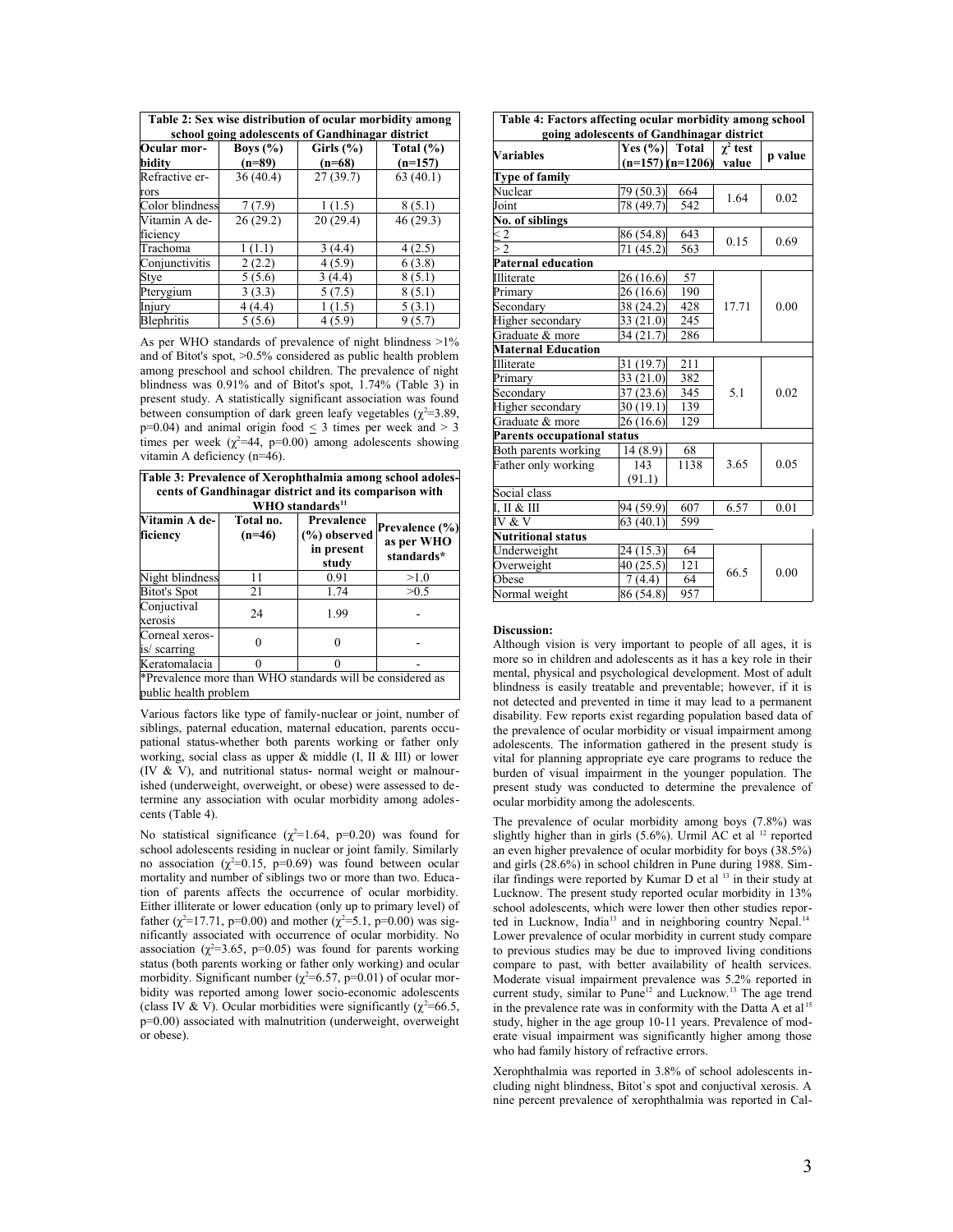| Table 2: Sex wise distribution of ocular morbidity among |
|----------------------------------------------------------|
| school going adolescents of Gandhinagar district         |

| school going adolescents of Ganuminagar uistrict |              |               |               |  |  |
|--------------------------------------------------|--------------|---------------|---------------|--|--|
| Ocular mor-                                      | Boys $(\% )$ | Girls $(\% )$ | Total $(\% )$ |  |  |
| bidity                                           | $(n=89)$     | $(n=68)$      | $(n=157)$     |  |  |
| Refractive er-                                   | 36(40.4)     | 27(39.7)      | 63(40.1)      |  |  |
| rors                                             |              |               |               |  |  |
| Color blindness                                  | 7(7.9)       | 1(1.5)        | 8(5.1)        |  |  |
| Vitamin A de-                                    | 26(29.2)     | 20(29.4)      | 46 (29.3)     |  |  |
| ficiency                                         |              |               |               |  |  |
| Trachoma                                         | 1(1.1)       | 3(4.4)        | 4(2.5)        |  |  |
| Conjunctivitis                                   | 2(2.2)       | 4(5.9)        | 6(3.8)        |  |  |
| Stye                                             | 5(5.6)       | 3(4.4)        | 8(5.1)        |  |  |
| Pterygium                                        | 3(3.3)       | 5(7.5)        | 8(5.1)        |  |  |
| Injury                                           | 4(4.4)       | 1(1.5)        | 5(3.1)        |  |  |
| Blephritis                                       | 5(5.6)       | 4(5.9)        | 9(5.7)        |  |  |

As per WHO standards of prevalence of night blindness >1% and of Bitot's spot, >0.5% considered as public health problem among preschool and school children. The prevalence of night blindness was 0.91% and of Bitot's spot, 1.74% (Table 3) in present study. A statistically significant association was found between consumption of dark green leafy vegetables ( $\chi^2$ =3.89,  $p=0.04$ ) and animal origin food  $\leq$  3 times per week and  $>$  3 times per week ( $\chi^2$ =44, p=0.00) among adolescents showing vitamin A deficiency (n=46).

| Table 3: Prevalence of Xerophthalmia among school adoles-<br>cents of Gandhinagar district and its comparison with<br>WHO standards <sup>11</sup> |                       |                                                      |                                            |  |  |
|---------------------------------------------------------------------------------------------------------------------------------------------------|-----------------------|------------------------------------------------------|--------------------------------------------|--|--|
| Vitamin A de-<br>ficiency                                                                                                                         | Total no.<br>$(n=46)$ | Prevalence<br>$(\%)$ observed<br>in present<br>study | Prevalence (%)<br>as per WHO<br>standards* |  |  |
| Night blindness                                                                                                                                   | 11                    | 0.91                                                 | >1.0                                       |  |  |
| Bitot's Spot                                                                                                                                      | 21                    | 1.74                                                 | >0.5                                       |  |  |
| Conjuctival<br>xerosis                                                                                                                            | 24                    | 1.99                                                 |                                            |  |  |
| Corneal xeros-<br>is/scarring                                                                                                                     |                       |                                                      |                                            |  |  |
| Keratomalacia                                                                                                                                     | 0                     | ∩                                                    |                                            |  |  |
| *Prevalence more than WHO standards will be considered as<br>public health problem                                                                |                       |                                                      |                                            |  |  |

Various factors like type of family-nuclear or joint, number of siblings, paternal education, maternal education, parents occupational status-whether both parents working or father only working, social class as upper  $\&$  middle (I, II  $\&$  III) or lower (IV & V), and nutritional status- normal weight or malnourished (underweight, overweight, or obese) were assessed to determine any association with ocular morbidity among adolescents (Table 4).

No statistical significance ( $\chi^2$ =1.64, p=0.20) was found for school adolescents residing in nuclear or joint family. Similarly no association ( $\chi^2$ =0.15, p=0.69) was found between ocular mortality and number of siblings two or more than two. Education of parents affects the occurrence of ocular morbidity. Either illiterate or lower education (only up to primary level) of father ( $\chi^2$ =17.71, p=0.00) and mother ( $\chi^2$ =5.1, p=0.00) was significantly associated with occurrence of ocular morbidity. No association ( $\chi^2$ =3.65, p=0.05) was found for parents working status (both parents working or father only working) and ocular morbidity. Significant number ( $\chi^2$ =6.57, p=0.01) of ocular morbidity was reported among lower socio-economic adolescents (class IV & V). Ocular morbidities were significantly ( $\gamma^2$ =66.5, p=0.00) associated with malnutrition (underweight, overweight or obese).

**Table 4: Factors affecting ocular morbidity among school**

| going adolescents of Gandhinagar district |                            |      |                 |         |  |  |
|-------------------------------------------|----------------------------|------|-----------------|---------|--|--|
|                                           | Yes $(\% )$ Total          |      | $\gamma^2$ test |         |  |  |
| Variables                                 | $(n=157)$ $(n=1206)$ value |      |                 | p value |  |  |
| <b>Type of family</b>                     |                            |      |                 |         |  |  |
| Nuclear                                   | 79 (50.3)                  | 664  | 1.64            | 0.02    |  |  |
| Joint                                     | 78 (49.7)                  | 542  |                 |         |  |  |
| No. of siblings                           |                            |      |                 |         |  |  |
| $\leq$ 2                                  | 86 (54.8)                  | 643  | 0.15            | 0.69    |  |  |
| >2                                        | 71 (45.2)                  | 563  |                 |         |  |  |
| <b>Paternal education</b>                 |                            |      |                 |         |  |  |
| Illiterate                                | 26(16.6)                   | 57   |                 | 0.00    |  |  |
| Primary                                   | 26(16.6)                   | 190  |                 |         |  |  |
| Secondary                                 | 38 (24.2)                  | 428  | 17.71           |         |  |  |
| Higher secondary                          | 33 $(21.0)$                | 245  |                 |         |  |  |
| Graduate & more                           | 34 (21.7)                  | 286  |                 |         |  |  |
| <b>Maternal Education</b>                 |                            |      |                 |         |  |  |
| Illiterate                                | 31(19.7)                   | 211  | 5.1             | 0.02    |  |  |
| Primary                                   | 33(21.0)                   | 382  |                 |         |  |  |
| Secondary                                 | 37(23.6)                   | 345  |                 |         |  |  |
| Higher secondary                          | 30(19.1)                   | 139  |                 |         |  |  |
| Graduate & more                           | 26(16.6)                   | 129  |                 |         |  |  |
| Parents occupational status               |                            |      |                 |         |  |  |
| Both parents working                      | 14(8.9)                    | 68   |                 |         |  |  |
| Father only working                       | 143                        | 1138 | 3.65            | 0.05    |  |  |
|                                           | (91.1)                     |      |                 |         |  |  |
| Social class                              |                            |      |                 |         |  |  |
| I, II & H                                 | 94 (59.9)                  | 607  | 6.57            | 0.01    |  |  |
| IV & V                                    | 63(40.1)                   | 599  |                 |         |  |  |
| Nutritional status                        |                            |      |                 |         |  |  |
| Underweight                               | 24 (15.3)                  | 64   |                 |         |  |  |
| Overweight                                | 40 (25.5)                  | 121  | 66.5            | 0.00    |  |  |
| Obese                                     | 7(4.4)                     | 64   |                 |         |  |  |
| Normal weight                             | 86 (54.8)                  | 957  |                 |         |  |  |

### **Discussion:**

Although vision is very important to people of all ages, it is more so in children and adolescents as it has a key role in their mental, physical and psychological development. Most of adult blindness is easily treatable and preventable; however, if it is not detected and prevented in time it may lead to a permanent disability. Few reports exist regarding population based data of the prevalence of ocular morbidity or visual impairment among adolescents. The information gathered in the present study is vital for planning appropriate eye care programs to reduce the burden of visual impairment in the younger population. The present study was conducted to determine the prevalence of ocular morbidity among the adolescents.

The prevalence of ocular morbidity among boys (7.8%) was slightly higher than in girls (5.6%). Urmil AC et al <sup>12</sup> reported an even higher prevalence of ocular morbidity for boys (38.5%) and girls (28.6%) in school children in Pune during 1988. Similar findings were reported by Kumar D et al <sup>13</sup> in their study at Lucknow. The present study reported ocular morbidity in 13% school adolescents, which were lower then other studies reported in Lucknow, India<sup>13</sup> and in neighboring country Nepal.<sup>14</sup> Lower prevalence of ocular morbidity in current study compare to previous studies may be due to improved living conditions compare to past, with better availability of health services. Moderate visual impairment prevalence was 5.2% reported in current study, similar to Pune<sup>12</sup> and Lucknow.<sup>13</sup> The age trend in the prevalence rate was in conformity with the Datta  $\widetilde{A}$  et al <sup>15</sup> study, higher in the age group 10-11 years. Prevalence of moderate visual impairment was significantly higher among those who had family history of refractive errors.

Xerophthalmia was reported in 3.8% of school adolescents including night blindness, Bitot`s spot and conjuctival xerosis. A nine percent prevalence of xerophthalmia was reported in Cal-